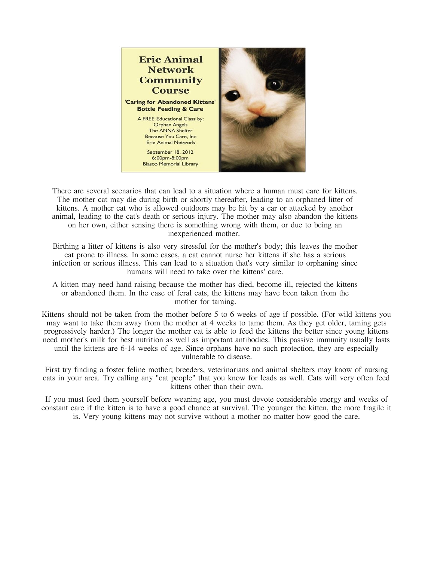

There are several scenarios that can lead to a situation where a human must care for kittens. The mother cat may die during birth or shortly thereafter, leading to an orphaned litter of kittens. A mother cat who is allowed outdoors may be hit by a car or attacked by another animal, leading to the cat's death or serious injury. The mother may also abandon the kittens on her own, either sensing there is something wrong with them, or due to being an inexperienced mother.

Birthing a litter of kittens is also very stressful for the mother's body; this leaves the mother cat prone to illness. In some cases, a cat cannot nurse her kittens if she has a serious infection or serious illness. This can lead to a situation that's very similar to orphaning since humans will need to take over the kittens' care.

A kitten may need hand raising because the mother has died, become ill, rejected the kittens or abandoned them. In the case of feral cats, the kittens may have been taken from the mother for taming.

Kittens should not be taken from the mother before 5 to 6 weeks of age if possible. (For wild kittens you may want to take them away from the mother at 4 weeks to tame them. As they get older, taming gets progressively harder.) The longer the mother cat is able to feed the kittens the better since young kittens need mother's milk for best nutrition as well as important antibodies. This passive immunity usually lasts until the kittens are 6-14 weeks of age. Since orphans have no such protection, they are especially vulnerable to disease.

First try finding a foster feline mother; breeders, veterinarians and animal shelters may know of nursing cats in your area. Try calling any "cat people" that you know for leads as well. Cats will very often feed kittens other than their own.

If you must feed them yourself before weaning age, you must devote considerable energy and weeks of constant care if the kitten is to have a good chance at survival. The younger the kitten, the more fragile it is. Very young kittens may not survive without a mother no matter how good the care.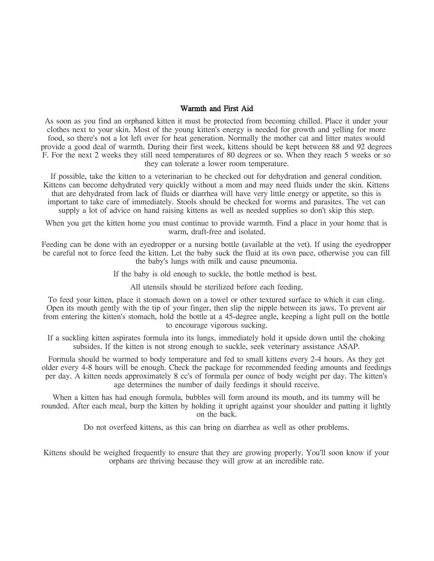### Warmth and First Aid

As soon as you find an orphaned kitten it must be protected from becoming chilled. Place it under your clothes next to your skin. Most of the young kitten's energy is needed for growth and yelling for more food, so there's not a lot left over for heat generation. Normally the mother cat and litter mates would provide a good deal of warmth. During their first week, kittens should be kept between 88 and 92 degrees F. For the next 2 weeks they still need temperatures of 80 degrees or so. When they reach 5 weeks or so they can tolerate a lower room temperature.

If possible, take the kitten to a veterinarian to be checked out for dehydration and general condition. Kittens can become dehydrated very quickly without a mom and may need fluids under the skin. Kittens that are dehydrated from lack of fluids or diarrhea will have very little energy or appetite, so this is important to take care of immediately. Stools should be checked for worms and parasites. The vet can supply a lot of advice on hand raising kittens as well as needed supplies so don't skip this step.

When you get the kitten home you must continue to provide warmth. Find a place in your home that is warm, draft-free and isolated.

Feeding can be done with an eyedropper or a nursing bottle (available at the vet). If using the eyedropper be careful not to force feed the kitten. Let the baby suck the fluid at its own pace, otherwise you can fill the baby's lungs with milk and cause pneumonia.

If the baby is old enough to suckle, the bottle method is best.

All utensils should be sterilized before each feeding.

To feed your kitten, place it stomach down on a towel or other textured surface to which it can cling. Open its mouth gently with the tip of your finger, then slip the nipple between its jaws. To prevent air from entering the kitten's stomach, hold the bottle at a 45-degree angle, keeping a light pull on the bottle to encourage vigorous sucking.

If a suckling kitten aspirates formula into its lungs, immediately hold it upside down until the choking subsides. If the kitten is not strong enough to suckle, seek veterinary assistance ASAP.

Formula should be warmed to body temperature and fed to small kittens every 2-4 hours. As they get older every 4-8 hours will be enough. Check the package for recommended feeding amounts and feedings per day. A kitten needs approximately 8 cc's of formula per ounce of body weight per day. The kitten's age determines the number of daily feedings it should receive.

When a kitten has had enough formula, bubbles will form around its mouth, and its tummy will be rounded. After each meal, burp the kitten by holding it upright against your shoulder and patting it lightly on the back.

Do not overfeed kittens, as this can bring on diarrhea as well as other problems.

Kittens should be weighed frequently to ensure that they are growing properly. You'll soon know if your orphans are thriving because they will grow at an incredible rate.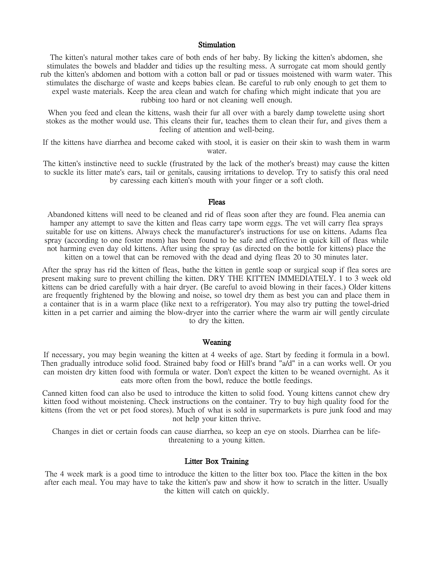#### **Stimulation**

The kitten's natural mother takes care of both ends of her baby. By licking the kitten's abdomen, she stimulates the bowels and bladder and tidies up the resulting mess. A surrogate cat mom should gently rub the kitten's abdomen and bottom with a cotton ball or pad or tissues moistened with warm water. This stimulates the discharge of waste and keeps babies clean. Be careful to rub only enough to get them to expel waste materials. Keep the area clean and watch for chafing which might indicate that you are rubbing too hard or not cleaning well enough.

When you feed and clean the kittens, wash their fur all over with a barely damp towelette using short stokes as the mother would use. This cleans their fur, teaches them to clean their fur, and gives them a feeling of attention and well-being.

If the kittens have diarrhea and become caked with stool, it is easier on their skin to wash them in warm water.

The kitten's instinctive need to suckle (frustrated by the lack of the mother's breast) may cause the kitten to suckle its litter mate's ears, tail or genitals, causing irritations to develop. Try to satisfy this oral need by caressing each kitten's mouth with your finger or a soft cloth.

#### Fleas

Abandoned kittens will need to be cleaned and rid of fleas soon after they are found. Flea anemia can hamper any attempt to save the kitten and fleas carry tape worm eggs. The vet will carry flea sprays suitable for use on kittens. Always check the manufacturer's instructions for use on kittens. Adams flea spray (according to one foster mom) has been found to be safe and effective in quick kill of fleas while not harming even day old kittens. After using the spray (as directed on the bottle for kittens) place the kitten on a towel that can be removed with the dead and dying fleas 20 to 30 minutes later.

After the spray has rid the kitten of fleas, bathe the kitten in gentle soap or surgical soap if flea sores are present making sure to prevent chilling the kitten. DRY THE KITTEN IMMEDIATELY. 1 to 3 week old kittens can be dried carefully with a hair dryer. (Be careful to avoid blowing in their faces.) Older kittens are frequently frightened by the blowing and noise, so towel dry them as best you can and place them in a container that is in a warm place (like next to a refrigerator). You may also try putting the towel-dried kitten in a pet carrier and aiming the blow-dryer into the carrier where the warm air will gently circulate to dry the kitten.

#### Weaning

If necessary, you may begin weaning the kitten at 4 weeks of age. Start by feeding it formula in a bowl. Then gradually introduce solid food. Strained baby food or Hill's brand "a/d" in a can works well. Or you can moisten dry kitten food with formula or water. Don't expect the kitten to be weaned overnight. As it eats more often from the bowl, reduce the bottle feedings.

Canned kitten food can also be used to introduce the kitten to solid food. Young kittens cannot chew dry kitten food without moistening. Check instructions on the container. Try to buy high quality food for the kittens (from the vet or pet food stores). Much of what is sold in supermarkets is pure junk food and may not help your kitten thrive.

Changes in diet or certain foods can cause diarrhea, so keep an eye on stools. Diarrhea can be lifethreatening to a young kitten.

### Litter Box Training

The 4 week mark is a good time to introduce the kitten to the litter box too. Place the kitten in the box after each meal. You may have to take the kitten's paw and show it how to scratch in the litter. Usually the kitten will catch on quickly.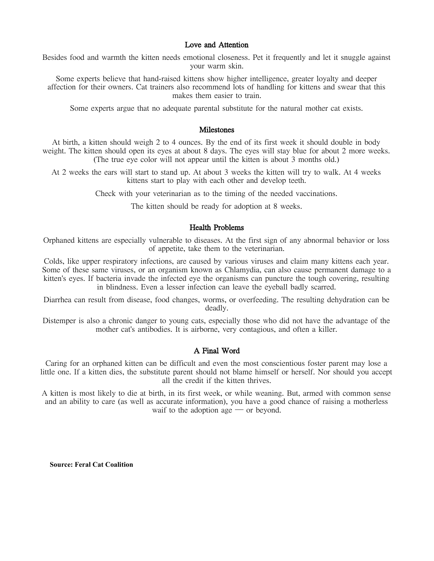### Love and Attention

Besides food and warmth the kitten needs emotional closeness. Pet it frequently and let it snuggle against your warm skin.

Some experts believe that hand-raised kittens show higher intelligence, greater loyalty and deeper affection for their owners. Cat trainers also recommend lots of handling for kittens and swear that this makes them easier to train.

Some experts argue that no adequate parental substitute for the natural mother cat exists.

#### Milestones

At birth, a kitten should weigh 2 to 4 ounces. By the end of its first week it should double in body weight. The kitten should open its eyes at about 8 days. The eyes will stay blue for about 2 more weeks. (The true eye color will not appear until the kitten is about 3 months old.)

At 2 weeks the ears will start to stand up. At about 3 weeks the kitten will try to walk. At 4 weeks kittens start to play with each other and develop teeth.

Check with your veterinarian as to the timing of the needed vaccinations.

The kitten should be ready for adoption at 8 weeks.

#### Health Problems

Orphaned kittens are especially vulnerable to diseases. At the first sign of any abnormal behavior or loss of appetite, take them to the veterinarian.

Colds, like upper respiratory infections, are caused by various viruses and claim many kittens each year. Some of these same viruses, or an organism known as Chlamydia, can also cause permanent damage to a kitten's eyes. If bacteria invade the infected eye the organisms can puncture the tough covering, resulting in blindness. Even a lesser infection can leave the eyeball badly scarred.

Diarrhea can result from disease, food changes, worms, or overfeeding. The resulting dehydration can be deadly.

Distemper is also a chronic danger to young cats, especially those who did not have the advantage of the mother cat's antibodies. It is airborne, very contagious, and often a killer.

### A Final Word

Caring for an orphaned kitten can be difficult and even the most conscientious foster parent may lose a little one. If a kitten dies, the substitute parent should not blame himself or herself. Nor should you accept all the credit if the kitten thrives.

A kitten is most likely to die at birth, in its first week, or while weaning. But, armed with common sense and an ability to care (as well as accurate information), you have a good chance of raising a motherless waif to the adoption age — or beyond.

**Source: Feral Cat Coalition**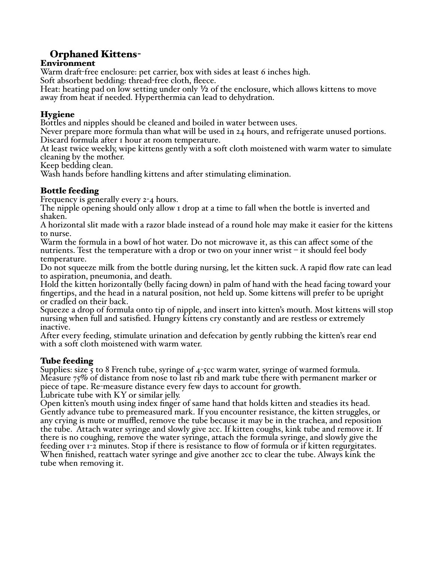# Orphaned Kittens-

## Environment

Warm draft-free enclosure: pet carrier, box with sides at least 6 inches high.

Soft absorbent bedding: thread-free cloth, fleece.

Heat: heating pad on low setting under only ½ of the enclosure, which allows kittens to move away from heat if needed. Hyperthermia can lead to dehydration.

## Hygiene

Bottles and nipples should be cleaned and boiled in water between uses.

Never prepare more formula than what will be used in 24 hours, and refrigerate unused portions. Discard formula after 1 hour at room temperature.

At least twice weekly, wipe kittens gently with a soft cloth moistened with warm water to simulate cleaning by the mother.

Keep bedding clean.

Wash hands before handling kittens and after stimulating elimination.

## Bottle feeding

Frequency is generally every 2-4 hours.

The nipple opening should only allow 1 drop at a time to fall when the bottle is inverted and shaken.

A horizontal slit made with a razor blade instead of a round hole may make it easier for the kittens to nurse.

Warm the formula in a bowl of hot water. Do not microwave it, as this can affect some of the nutrients. Test the temperature with a drop or two on your inner wrist  $-$  it should feel body temperature.

Do not squeeze milk from the bottle during nursing, let the kitten suck. A rapid flow rate can lead to aspiration, pneumonia, and death.

Hold the kitten horizontally (belly facing down) in palm of hand with the head facing toward your fingertips, and the head in a natural position, not held up. Some kittens will prefer to be upright or cradled on their back.

Squeeze a drop of formula onto tip of nipple, and insert into kitten's mouth. Most kittens will stop nursing when full and satisfied. Hungry kittens cry constantly and are restless or extremely inactive.

After every feeding, stimulate urination and defecation by gently rubbing the kitten's rear end with a soft cloth moistened with warm water.

## Tube feeding

Supplies: size  $\overline{5}$  to 8 French tube, syringe of  $4$ - $5$ cc warm water, syringe of warmed formula. Measure  $75\%$  of distance from nose to last rib and mark tube there with permanent marker or piece of tape. Re-measure distance every few days to account for growth.

Lubricate tube with KY or similar jelly.

Open kitten's mouth using index finger of same hand that holds kitten and steadies its head. Gently advance tube to premeasured mark. If you encounter resistance, the kitten struggles, or any crying is mute or muffled, remove the tube because it may be in the trachea, and reposition the tube. Attach water syringe and slowly give 2cc. If kitten coughs, kink tube and remove it. If there is no coughing, remove the water syringe, attach the formula syringe, and slowly give the feeding over 1-2 minutes. Stop if there is resistance to flow of formula or if kitten regurgitates. When finished, reattach water syringe and give another 2cc to clear the tube. Always kink the tube when removing it.